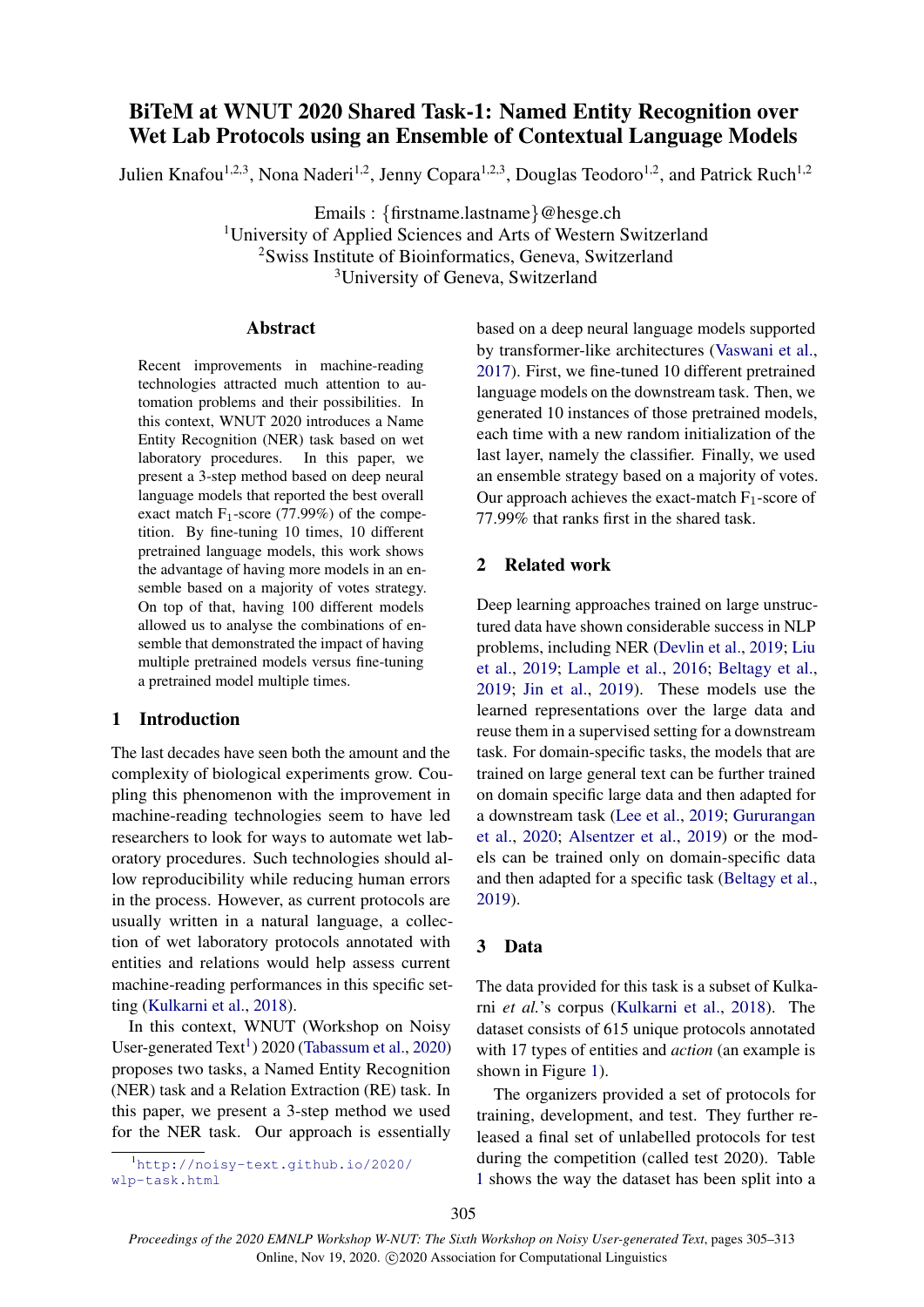# BiTeM at WNUT 2020 Shared Task-1: Named Entity Recognition over Wet Lab Protocols using an Ensemble of Contextual Language Models

Julien Knafou<sup>1,2,3</sup>, Nona Naderi<sup>1,2</sup>, Jenny Copara<sup>1,2,3</sup>, Douglas Teodoro<sup>1,2</sup>, and Patrick Ruch<sup>1,2</sup>

Emails : {firstname.lastname}@hesge.ch <sup>1</sup>University of Applied Sciences and Arts of Western Switzerland <sup>2</sup>Swiss Institute of Bioinformatics, Geneva, Switzerland <sup>3</sup>University of Geneva, Switzerland

#### Abstract

Recent improvements in machine-reading technologies attracted much attention to automation problems and their possibilities. In this context, WNUT 2020 introduces a Name Entity Recognition (NER) task based on wet laboratory procedures. In this paper, we present a 3-step method based on deep neural language models that reported the best overall exact match  $F_1$ -score (77.99%) of the competition. By fine-tuning 10 times, 10 different pretrained language models, this work shows the advantage of having more models in an ensemble based on a majority of votes strategy. On top of that, having 100 different models allowed us to analyse the combinations of ensemble that demonstrated the impact of having multiple pretrained models versus fine-tuning a pretrained model multiple times.

## 1 Introduction

The last decades have seen both the amount and the complexity of biological experiments grow. Coupling this phenomenon with the improvement in machine-reading technologies seem to have led researchers to look for ways to automate wet laboratory procedures. Such technologies should allow reproducibility while reducing human errors in the process. However, as current protocols are usually written in a natural language, a collection of wet laboratory protocols annotated with entities and relations would help assess current machine-reading performances in this specific setting [\(Kulkarni et al.,](#page-8-0) [2018\)](#page-8-0).

In this context, WNUT (Workshop on Noisy User-generated Text<sup>[1](#page-0-0)</sup>) 2020 [\(Tabassum et al.,](#page-8-1) [2020\)](#page-8-1) proposes two tasks, a Named Entity Recognition (NER) task and a Relation Extraction (RE) task. In this paper, we present a 3-step method we used for the NER task. Our approach is essentially

<span id="page-0-0"></span><sup>1</sup>[http://noisy-text.github.io/2020/](http://noisy-text.github.io/2020/wlp-task.html) [wlp-task.html](http://noisy-text.github.io/2020/wlp-task.html)

based on a deep neural language models supported by transformer-like architectures [\(Vaswani et al.,](#page-8-2) [2017\)](#page-8-2). First, we fine-tuned 10 different pretrained language models on the downstream task. Then, we generated 10 instances of those pretrained models, each time with a new random initialization of the last layer, namely the classifier. Finally, we used an ensemble strategy based on a majority of votes. Our approach achieves the exact-match  $F_1$ -score of 77.99% that ranks first in the shared task.

# 2 Related work

Deep learning approaches trained on large unstructured data have shown considerable success in NLP problems, including NER [\(Devlin et al.,](#page-7-0) [2019;](#page-7-0) [Liu](#page-8-3) [et al.,](#page-8-3) [2019;](#page-8-3) [Lample et al.,](#page-8-4) [2016;](#page-8-4) [Beltagy et al.,](#page-7-1) [2019;](#page-7-1) [Jin et al.,](#page-8-5) [2019\)](#page-8-5). These models use the learned representations over the large data and reuse them in a supervised setting for a downstream task. For domain-specific tasks, the models that are trained on large general text can be further trained on domain specific large data and then adapted for a downstream task [\(Lee et al.,](#page-8-6) [2019;](#page-8-6) [Gururangan](#page-8-7) [et al.,](#page-8-7) [2020;](#page-8-7) [Alsentzer et al.,](#page-7-2) [2019\)](#page-7-2) or the models can be trained only on domain-specific data and then adapted for a specific task [\(Beltagy et al.,](#page-7-1) [2019\)](#page-7-1).

## 3 Data

The data provided for this task is a subset of Kulkarni *et al.*'s corpus [\(Kulkarni et al.,](#page-8-0) [2018\)](#page-8-0). The dataset consists of 615 unique protocols annotated with 17 types of entities and *action* (an example is shown in Figure [1\)](#page-1-0).

The organizers provided a set of protocols for training, development, and test. They further released a final set of unlabelled protocols for test during the competition (called test 2020). Table [1](#page-1-1) shows the way the dataset has been split into a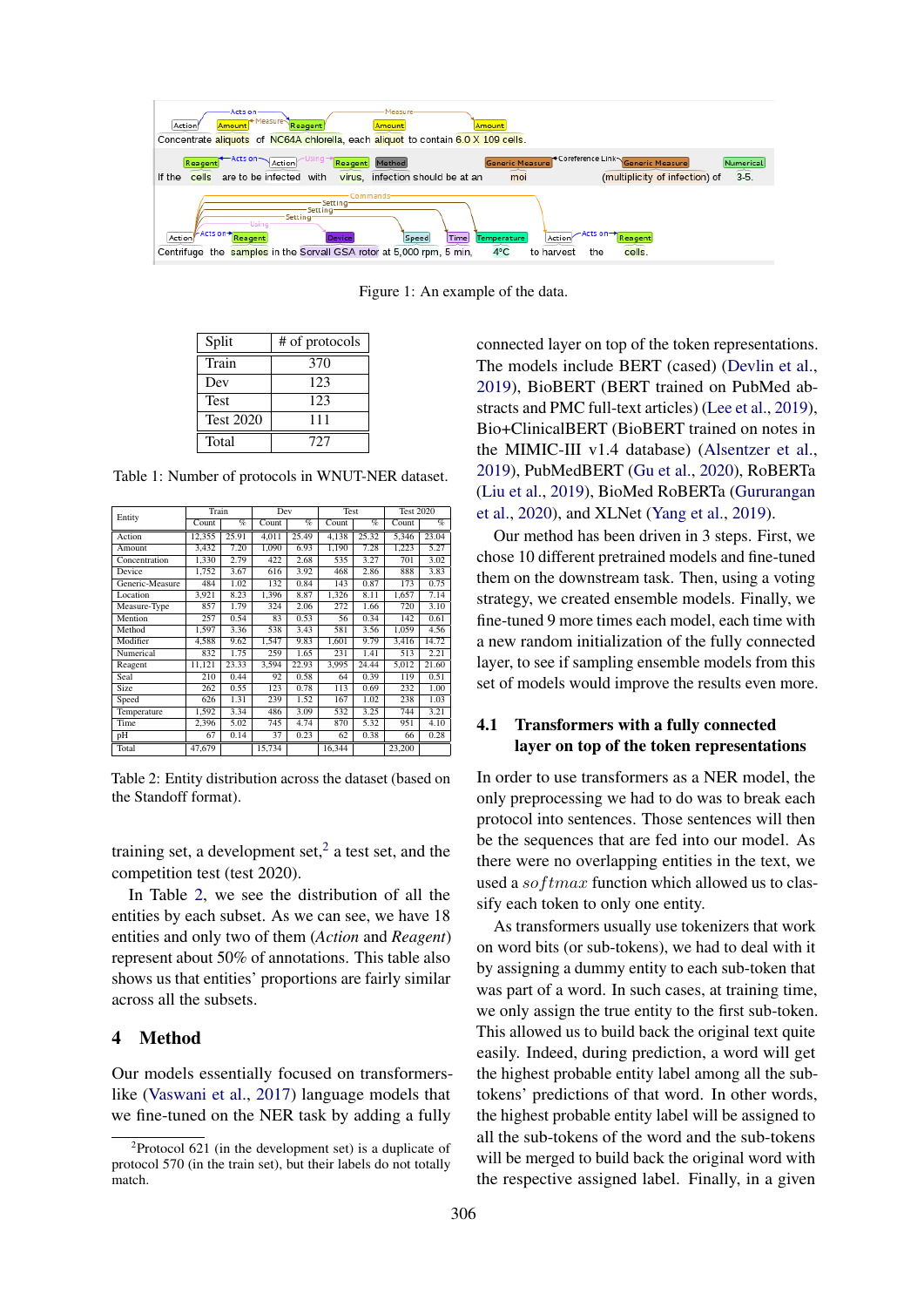<span id="page-1-0"></span>

Figure 1: An example of the data.

<span id="page-1-1"></span>

| Split            | # of protocols |
|------------------|----------------|
| Train            | 370            |
| Dev              | 123            |
| <b>Test</b>      | 123            |
| <b>Test 2020</b> | 111            |
| Total            | 727            |

Table 1: Number of protocols in WNUT-NER dataset.

<span id="page-1-3"></span>

|                 | Train  |                 | Dev    |       | Test   |       | <b>Test 2020</b> |       |
|-----------------|--------|-----------------|--------|-------|--------|-------|------------------|-------|
| Entity          | Count  | $\overline{\%}$ | Count  | $\%$  | Count  | $\%$  | Count            | $\%$  |
| Action          | 12,355 | 25.91           | 4,011  | 25.49 | 4,138  | 25.32 | 5,346            | 23.04 |
| Amount          | 3.432  | 7.20            | 1.090  | 6.93  | 1,190  | 7.28  | 1,223            | 5.27  |
| Concentration   | 1,330  | 2.79            | 422    | 2.68  | 535    | 3.27  | 701              | 3.02  |
| Device          | 1,752  | 3.67            | 616    | 3.92  | 468    | 2.86  | 888              | 3.83  |
| Generic-Measure | 484    | 1.02            | 132    | 0.84  | 143    | 0.87  | 173              | 0.75  |
| Location        | 3.921  | 8.23            | 1.396  | 8.87  | 1,326  | 8.11  | 1.657            | 7.14  |
| Measure-Type    | 857    | 1.79            | 324    | 2.06  | 272    | 1.66  | 720              | 3.10  |
| Mention         | 257    | 0.54            | 83     | 0.53  | 56     | 0.34  | 142              | 0.61  |
| Method          | 1.597  | 3.36            | 538    | 3.43  | 581    | 3.56  | 1.059            | 4.56  |
| Modifier        | 4,588  | 9.62            | 1,547  | 9.83  | 1,601  | 9.79  | 3,416            | 14.72 |
| Numerical       | 832    | 1.75            | 259    | 1.65  | 231    | 1.41  | 513              | 2.21  |
| Reagent         | 11,121 | 23.33           | 3,594  | 22.93 | 3,995  | 24.44 | 5,012            | 21.60 |
| Seal            | 210    | 0.44            | 92     | 0.58  | 64     | 0.39  | 119              | 0.51  |
| Size            | 262    | 0.55            | 123    | 0.78  | 113    | 0.69  | 232              | 1.00  |
| Speed           | 626    | 1.31            | 239    | 1.52  | 167    | 1.02  | 238              | 1.03  |
| Temperature     | 1,592  | 3.34            | 486    | 3.09  | 532    | 3.25  | 744              | 3.21  |
| Time            | 2,396  | 5.02            | 745    | 4.74  | 870    | 5.32  | 951              | 4.10  |
| pH              | 67     | 0.14            | 37     | 0.23  | 62     | 0.38  | 66               | 0.28  |
| Total           | 47,679 |                 | 15,734 |       | 16,344 |       | 23,200           |       |

Table 2: Entity distribution across the dataset (based on the Standoff format).

training set, a development set,<sup>[2](#page-1-2)</sup> a test set, and the competition test (test 2020).

In Table [2,](#page-1-3) we see the distribution of all the entities by each subset. As we can see, we have 18 entities and only two of them (*Action* and *Reagent*) represent about 50% of annotations. This table also shows us that entities' proportions are fairly similar across all the subsets.

#### 4 Method

Our models essentially focused on transformerslike [\(Vaswani et al.,](#page-8-2) [2017\)](#page-8-2) language models that we fine-tuned on the NER task by adding a fully

connected layer on top of the token representations. The models include BERT (cased) [\(Devlin et al.,](#page-7-0) [2019\)](#page-7-0), BioBERT (BERT trained on PubMed abstracts and PMC full-text articles) [\(Lee et al.,](#page-8-6) [2019\)](#page-8-6), Bio+ClinicalBERT (BioBERT trained on notes in the MIMIC-III v1.4 database) [\(Alsentzer et al.,](#page-7-2) [2019\)](#page-7-2), PubMedBERT [\(Gu et al.,](#page-8-8) [2020\)](#page-8-8), RoBERTa [\(Liu et al.,](#page-8-3) [2019\)](#page-8-3), BioMed RoBERTa [\(Gururangan](#page-8-7) [et al.,](#page-8-7) [2020\)](#page-8-7), and XLNet [\(Yang et al.,](#page-8-9) [2019\)](#page-8-9).

Our method has been driven in 3 steps. First, we chose 10 different pretrained models and fine-tuned them on the downstream task. Then, using a voting strategy, we created ensemble models. Finally, we fine-tuned 9 more times each model, each time with a new random initialization of the fully connected layer, to see if sampling ensemble models from this set of models would improve the results even more.

#### 4.1 Transformers with a fully connected layer on top of the token representations

In order to use transformers as a NER model, the only preprocessing we had to do was to break each protocol into sentences. Those sentences will then be the sequences that are fed into our model. As there were no overlapping entities in the text, we used a  $softmax$  function which allowed us to classify each token to only one entity.

As transformers usually use tokenizers that work on word bits (or sub-tokens), we had to deal with it by assigning a dummy entity to each sub-token that was part of a word. In such cases, at training time, we only assign the true entity to the first sub-token. This allowed us to build back the original text quite easily. Indeed, during prediction, a word will get the highest probable entity label among all the subtokens' predictions of that word. In other words, the highest probable entity label will be assigned to all the sub-tokens of the word and the sub-tokens will be merged to build back the original word with the respective assigned label. Finally, in a given

<span id="page-1-2"></span> $2$ Protocol 621 (in the development set) is a duplicate of protocol 570 (in the train set), but their labels do not totally match.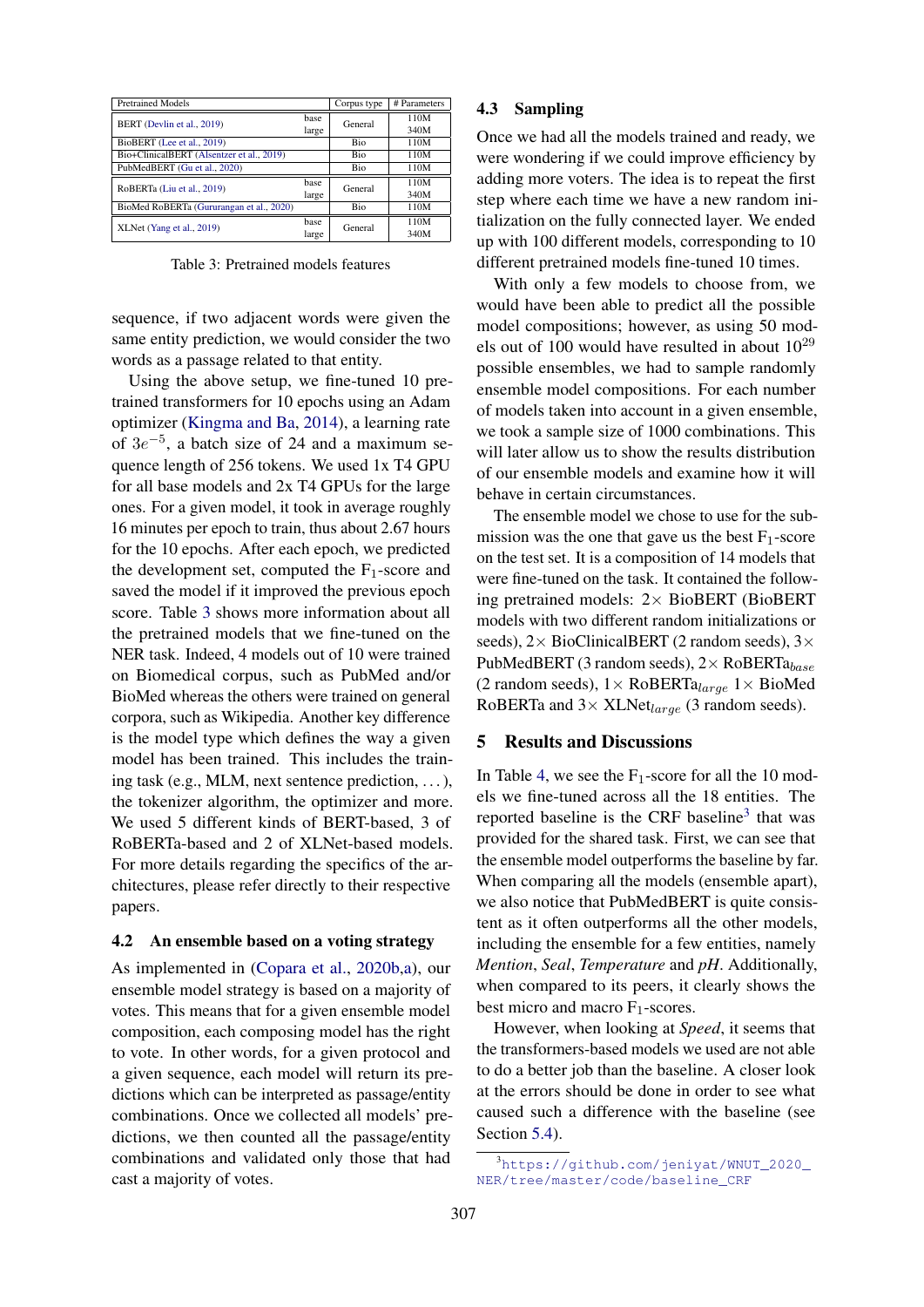<span id="page-2-0"></span>

| <b>Pretrained Models</b>                  |               | Corpus type | # Parameters |
|-------------------------------------------|---------------|-------------|--------------|
| BERT (Devlin et al., 2019)                | hase<br>large | General     | 110M<br>340M |
| BioBERT (Lee et al., 2019)                |               | Bio         | 110M         |
| Bio+ClinicalBERT (Alsentzer et al., 2019) |               | Bio         | 110M         |
| PubMedBERT (Gu et al., 2020)              |               | <b>Bio</b>  | 110M         |
| RoBERTa (Liu et al., 2019)                | hase<br>large | General     | 110M<br>340M |
| BioMed RoBERTa (Gururangan et al., 2020)  |               | Bio         | 110M         |
| XLNet (Yang et al., 2019)                 | hase<br>large | General     | 110M<br>340M |

Table 3: Pretrained models features

sequence, if two adjacent words were given the same entity prediction, we would consider the two words as a passage related to that entity.

Using the above setup, we fine-tuned 10 pretrained transformers for 10 epochs using an Adam optimizer [\(Kingma and Ba,](#page-8-10) [2014\)](#page-8-10), a learning rate of  $3e^{-5}$ , a batch size of 24 and a maximum sequence length of 256 tokens. We used 1x T4 GPU for all base models and 2x T4 GPUs for the large ones. For a given model, it took in average roughly 16 minutes per epoch to train, thus about 2.67 hours for the 10 epochs. After each epoch, we predicted the development set, computed the  $F_1$ -score and saved the model if it improved the previous epoch score. Table [3](#page-2-0) shows more information about all the pretrained models that we fine-tuned on the NER task. Indeed, 4 models out of 10 were trained on Biomedical corpus, such as PubMed and/or BioMed whereas the others were trained on general corpora, such as Wikipedia. Another key difference is the model type which defines the way a given model has been trained. This includes the training task (e.g., MLM, next sentence prediction, . . . ), the tokenizer algorithm, the optimizer and more. We used 5 different kinds of BERT-based, 3 of RoBERTa-based and 2 of XLNet-based models. For more details regarding the specifics of the architectures, please refer directly to their respective papers.

#### <span id="page-2-2"></span>4.2 An ensemble based on a voting strategy

As implemented in [\(Copara et al.,](#page-7-3) [2020b,](#page-7-3)[a\)](#page-7-4), our ensemble model strategy is based on a majority of votes. This means that for a given ensemble model composition, each composing model has the right to vote. In other words, for a given protocol and a given sequence, each model will return its predictions which can be interpreted as passage/entity combinations. Once we collected all models' predictions, we then counted all the passage/entity combinations and validated only those that had cast a majority of votes.

#### <span id="page-2-3"></span>4.3 Sampling

Once we had all the models trained and ready, we were wondering if we could improve efficiency by adding more voters. The idea is to repeat the first step where each time we have a new random initialization on the fully connected layer. We ended up with 100 different models, corresponding to 10 different pretrained models fine-tuned 10 times.

With only a few models to choose from, we would have been able to predict all the possible model compositions; however, as using 50 models out of 100 would have resulted in about  $10^{29}$ possible ensembles, we had to sample randomly ensemble model compositions. For each number of models taken into account in a given ensemble, we took a sample size of 1000 combinations. This will later allow us to show the results distribution of our ensemble models and examine how it will behave in certain circumstances.

The ensemble model we chose to use for the submission was the one that gave us the best  $F_1$ -score on the test set. It is a composition of 14 models that were fine-tuned on the task. It contained the following pretrained models: 2× BioBERT (BioBERT models with two different random initializations or seeds),  $2 \times$  BioClinicalBERT (2 random seeds),  $3 \times$ PubMedBERT (3 random seeds),  $2 \times \text{RoBERTa}_{base}$ (2 random seeds),  $1 \times \text{RoBERTa}_{large}$  1  $\times$  BioMed RoBERTa and  $3 \times$  XLNet<sub>large</sub> (3 random seeds).

### 5 Results and Discussions

In Table [4,](#page-3-0) we see the  $F_1$ -score for all the 10 models we fine-tuned across all the 18 entities. The reported baseline is the CRF baseline<sup>[3](#page-2-1)</sup> that was provided for the shared task. First, we can see that the ensemble model outperforms the baseline by far. When comparing all the models (ensemble apart), we also notice that PubMedBERT is quite consistent as it often outperforms all the other models, including the ensemble for a few entities, namely *Mention*, *Seal*, *Temperature* and *pH*. Additionally, when compared to its peers, it clearly shows the best micro and macro  $F_1$ -scores.

However, when looking at *Speed*, it seems that the transformers-based models we used are not able to do a better job than the baseline. A closer look at the errors should be done in order to see what caused such a difference with the baseline (see Section [5.4\)](#page-6-0).

<span id="page-2-1"></span><sup>3</sup>[https://github.com/jeniyat/WNUT\\_2020\\_](https://github.com/jeniyat/WNUT_2020_NER/tree/master/code/baseline_CRF) [NER/tree/master/code/baseline\\_CRF](https://github.com/jeniyat/WNUT_2020_NER/tree/master/code/baseline_CRF)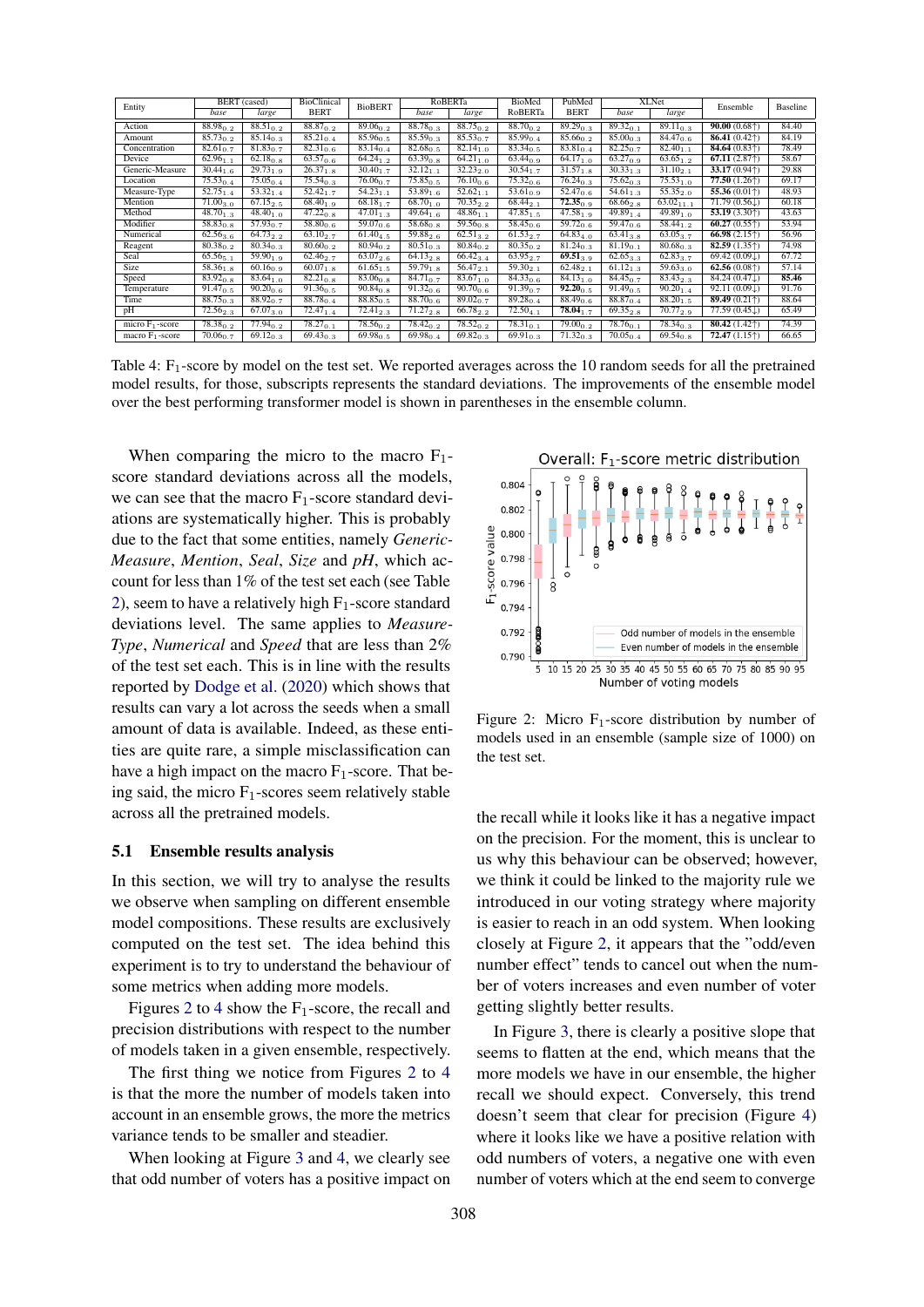<span id="page-3-0"></span>

| Entity             |                          | <b>BERT</b> (cased)      | BioClinical   | <b>BioBERT</b>           |                          | RoBERTa                  | BioMed                   | PubMed        |                          | <b>XLNet</b>             | Ensemble                           | Baseline |
|--------------------|--------------------------|--------------------------|---------------|--------------------------|--------------------------|--------------------------|--------------------------|---------------|--------------------------|--------------------------|------------------------------------|----------|
|                    | base                     | large                    | <b>BERT</b>   |                          | base                     | large                    | RoBERTa                  | <b>BERT</b>   | base                     | large                    |                                    |          |
| Action             | $88.98_{0.2}$            | $88.51_{0.2}$            | $88.87_{0.2}$ | $89.06_{0.2}$            | $88.78_{0.3}$            | $88.75_{0.2}$            | $88.70_{0.2}$            | $89.29_{0.3}$ | $89.32_{0.1}$            | $89.11_{0.3}$            | $90.00(0.68\text{*)}$              | 84.40    |
| Amount             | $85.73_{0.2}$            | $85.14_{0.3}$            | $85.21_{0.4}$ | $85.96_{0.5}$            | $85.59_{0.3}$            | $85.53_{0.7}$            | $85.99_{0.4}$            | $85.66_{0.2}$ | $85.00_{0.3}$            | $84.47_{0.6}$            | 86.41(0.42)                        | 84.19    |
| Concentration      | $82.61_{0.7}$            | $81.83_{0.7}$            | $82.31_{0.6}$ | $83.14_{0.4}$            | $82.68_{0.5}$            | $82.14_{1.0}$            | $83.34_{0.5}$            | $83.81_{0.4}$ | $82.25_{0.7}$            | $82.40_{1.1}$            | 84.64(0.83)                        | 78.49    |
| Device             | $62.96_{1.1}$            | $\overline{62.18}_{0.8}$ | $63.57_{0.6}$ | $\overline{64.24}_{1.2}$ | $\overline{63.39}_{0.8}$ | $\overline{64.21}_{1.0}$ | $63.44_{0.9}$            | $64.17_{1.0}$ | $63.27_{0.9}$            | $63.65_{1.2}$            | 67.11(2.87)                        | 58.67    |
| Generic-Measure    | $30.44_{1.6}$            | $29.73_{1.9}$            | $26.37_{1.8}$ | $30.40_{1.7}$            | $32.12_{1.1}$            | $32.23_{2.0}$            | $30.54_{1.7}$            | $31.57_{1.8}$ | $30.33_{1.3}$            | $31.10_{2.1}$            | 33.17(0.94)                        | 29.88    |
| Location           | $75.53_{0.4}$            | $75.05_{0.4}$            | $75.54_{0.3}$ | $76.06_{0.7}$            | $75.85_{0.5}$            | $76.10_{0.6}$            | $75.32_{0.6}$            | $76.24_{0.3}$ | $75.62_{0.3}$            | $75.53_{1.0}$            | 77.50(1.26 <sup>†</sup> )          | 69.17    |
| Measure-Type       | $\overline{52.75}_{1.4}$ | $53.32_{1.4}$            | $52.42_{1.7}$ | $54.23_{1.1}$            | $\overline{53.89}_{1.6}$ | $52.62_{1.1}$            | $\overline{53.61}_{0.9}$ | $52.47_{0.6}$ | $\overline{5}4.61_{1.3}$ | $55.35_{2.0}$            | 55.36 $(0.01\text{*)}$             | 48.93    |
| Mention            | $71.00_{3.0}$            | $67.15_{2.5}$            | $68.40_{1.9}$ | $68.18_{1.7}$            | $68.70_{1,0}$            | $70.35_{2.2}$            | $68.44_{2.1}$            | $72.35_{0.9}$ | $68.66_{2.8}$            | $63.02_{11.1}$           | $71.79(0.56\downarrow)$            | 60.18    |
| Method             | $48.70_{1.3}$            | $48.40_{1.0}$            | $47.22_{0.8}$ | $\overline{47.01}_{1.3}$ | $49.64_{1.6}$            | $48.86_{1.1}$            | $47.85_{1.5}$            | $47.58_{1.9}$ | $49.89_{1.4}$            | $49.89_{1.0}$            | 53.19(3.30)                        | 43.63    |
| Modifier           | $58.83_{0.8}$            | $\overline{57.93}_{0.7}$ | $58.80_{0.6}$ | $59.07_{0.6}$            | $58.68_{0.8}$            | $59.56_{0.8}$            | $58.45_{0.6}$            | $59.72_{0.6}$ | $59.47_{0.6}$            | $58.44_{1.2}$            | $60.27(0.55\dagger)$               | 53.94    |
| Numerical          | $62.56_{3.6}$            | $64.73_{2,2}$            | $63.10_{2.7}$ | $61.40_{4.5}$            | $59.88_{2.6}$            | $62.51_{3.2}$            | $61.53_{2.7}$            | $64.83_{4.0}$ | $63.41_{3.8}$            | $63.05_{3.7}$            | 66.98 $(2.15†)$                    | 56.96    |
| Reagent            | $80.38_{0.2}$            | $80.34_{0.3}$            | $80.60_{0.2}$ | $80.94_{0.2}$            | $80.51_{0.3}$            | $80.84_{0.2}$            | $80.35_{0.2}$            | $81.24_{0.3}$ | $81.19_{0.1}$            | $80.68_{0.3}$            | 82.59(1.35)                        | 74.98    |
| Seal               | $65.56_{5.1}$            | $59.90_{1.9}$            | $62.46_{2.7}$ | $63.07_{2.6}$            | $64.13_{2.8}$            | $66.42_{3.4}$            | 63.952.7                 | $69.51_{3.9}$ | $62.65_{3.3}$            | $62.83_{3.7}$            | 69.42 $(0.09\downarrow)$           | 67.72    |
| <b>Size</b>        | $58.36_{1.8}$            | $60.16_{0.9}$            | $60.07_{1.8}$ | $61.65_{1.5}$            | $59.79_{1.8}$            | $56.47_{2.1}$            | $59.30_{2.1}$            | $62.48_{2.1}$ | $61.12_{1.3}$            | $\overline{59.63}_{3.0}$ | 62.56(0.08 <sup>†</sup> )          | 57.14    |
| Speed              | $83.92_{0.8}$            | $83.64_{1.0}$            | $82.21_{0.8}$ | $83.06_{0.8}$            | $\overline{84.71}_{0.7}$ | $83.67_{1.0}$            | $84.33_{0.6}$            | $84.13_{1.0}$ | $84.45_{0.7}$            | $83.43_{2.3}$            | 84.24 (0.47.L)                     | 85.46    |
| Temperature        | $91.47_{0.5}$            | $90.20_{0.6}$            | $91.36_{0.5}$ | $90.84_{0.8}$            | $91.32_{0.6}$            | $90.70_{0.6}$            | $91.39_{0.7}$            | $92.20_{0.5}$ | $91.49_{0.5}$            | $90.20_{1.4}$            | 92.11 $(0.09\downarrow)$           | 91.76    |
| Time               | $88.75_{0.3}$            | $88.92_{0.7}$            | $88.78_{0.4}$ | $88.85_{0.5}$            | $88.70_{0.6}$            | $89.02_{0.7}$            | $89.28_{0.4}$            | $88.49_{0.6}$ | $88.87_{0.4}$            | $88.20_{1.5}$            | $\overline{89.49} (0.21 \text{m})$ | 88.64    |
| pH                 | $72.56_{2.3}$            | $67.07_{3.0}$            | $72.47_{1.4}$ | $\overline{72.41}_{2.3}$ | $71.27_{2.8}$            | $66.78_{2.2}$            | $72.50_{4.1}$            | $78.04_{1.7}$ | $69.35_{2.8}$            | $70.77_{2.9}$            | $77.59(0.45\downarrow)$            | 65.49    |
| micro $F_1$ -score | $\overline{78.38}_{0.2}$ | $77.94_{0.2}$            | $78.27_{0.1}$ | $78.56_{0.2}$            | $78.42_{0.2}$            | $78.52_{0.2}$            | $78.31_{0.1}$            | $79.00_{0.2}$ | $78.76_{0.1}$            | $78.34_{0.3}$            | $80.42(1.42\text{)}$               | 74.39    |
| macro $F_1$ -score | $70.06_{0.7}$            | $69.12_{0.3}$            | $69.43_{0.3}$ | $69.98_{0.5}$            | $69.98_{0.4}$            | $69.82_{0.3}$            | $69.91_{0.3}$            | $71.32_{0.3}$ | $70.05_{0.4}$            | $69.54_{0.8}$            | 72.47(1.15 <sup>†</sup> )          | 66.65    |

Table 4:  $F_1$ -score by model on the test set. We reported averages across the 10 random seeds for all the pretrained model results, for those, subscripts represents the standard deviations. The improvements of the ensemble model over the best performing transformer model is shown in parentheses in the ensemble column.

When comparing the micro to the macro  $F_1$ score standard deviations across all the models, we can see that the macro  $F_1$ -score standard deviations are systematically higher. This is probably due to the fact that some entities, namely *Generic-Measure*, *Mention*, *Seal*, *Size* and *pH*, which account for less than 1% of the test set each (see Table [2\)](#page-1-3), seem to have a relatively high  $F_1$ -score standard deviations level. The same applies to *Measure-Type*, *Numerical* and *Speed* that are less than 2% of the test set each. This is in line with the results reported by [Dodge et al.](#page-8-11) [\(2020\)](#page-8-11) which shows that results can vary a lot across the seeds when a small amount of data is available. Indeed, as these entities are quite rare, a simple misclassification can have a high impact on the macro  $F_1$ -score. That being said, the micro  $F_1$ -scores seem relatively stable across all the pretrained models.

#### 5.1 Ensemble results analysis

In this section, we will try to analyse the results we observe when sampling on different ensemble model compositions. These results are exclusively computed on the test set. The idea behind this experiment is to try to understand the behaviour of some metrics when adding more models.

Figures [2](#page-3-1) to [4](#page-4-0) show the  $F_1$ -score, the recall and precision distributions with respect to the number of models taken in a given ensemble, respectively.

The first thing we notice from Figures [2](#page-3-1) to [4](#page-4-0) is that the more the number of models taken into account in an ensemble grows, the more the metrics variance tends to be smaller and steadier.

When looking at Figure [3](#page-4-1) and [4,](#page-4-0) we clearly see that odd number of voters has a positive impact on

<span id="page-3-1"></span>

Figure 2: Micro  $F_1$ -score distribution by number of models used in an ensemble (sample size of 1000) on the test set.

the recall while it looks like it has a negative impact on the precision. For the moment, this is unclear to us why this behaviour can be observed; however, we think it could be linked to the majority rule we introduced in our voting strategy where majority is easier to reach in an odd system. When looking closely at Figure [2,](#page-3-1) it appears that the "odd/even number effect" tends to cancel out when the number of voters increases and even number of voter getting slightly better results.

In Figure [3,](#page-4-1) there is clearly a positive slope that seems to flatten at the end, which means that the more models we have in our ensemble, the higher recall we should expect. Conversely, this trend doesn't seem that clear for precision (Figure [4\)](#page-4-0) where it looks like we have a positive relation with odd numbers of voters, a negative one with even number of voters which at the end seem to converge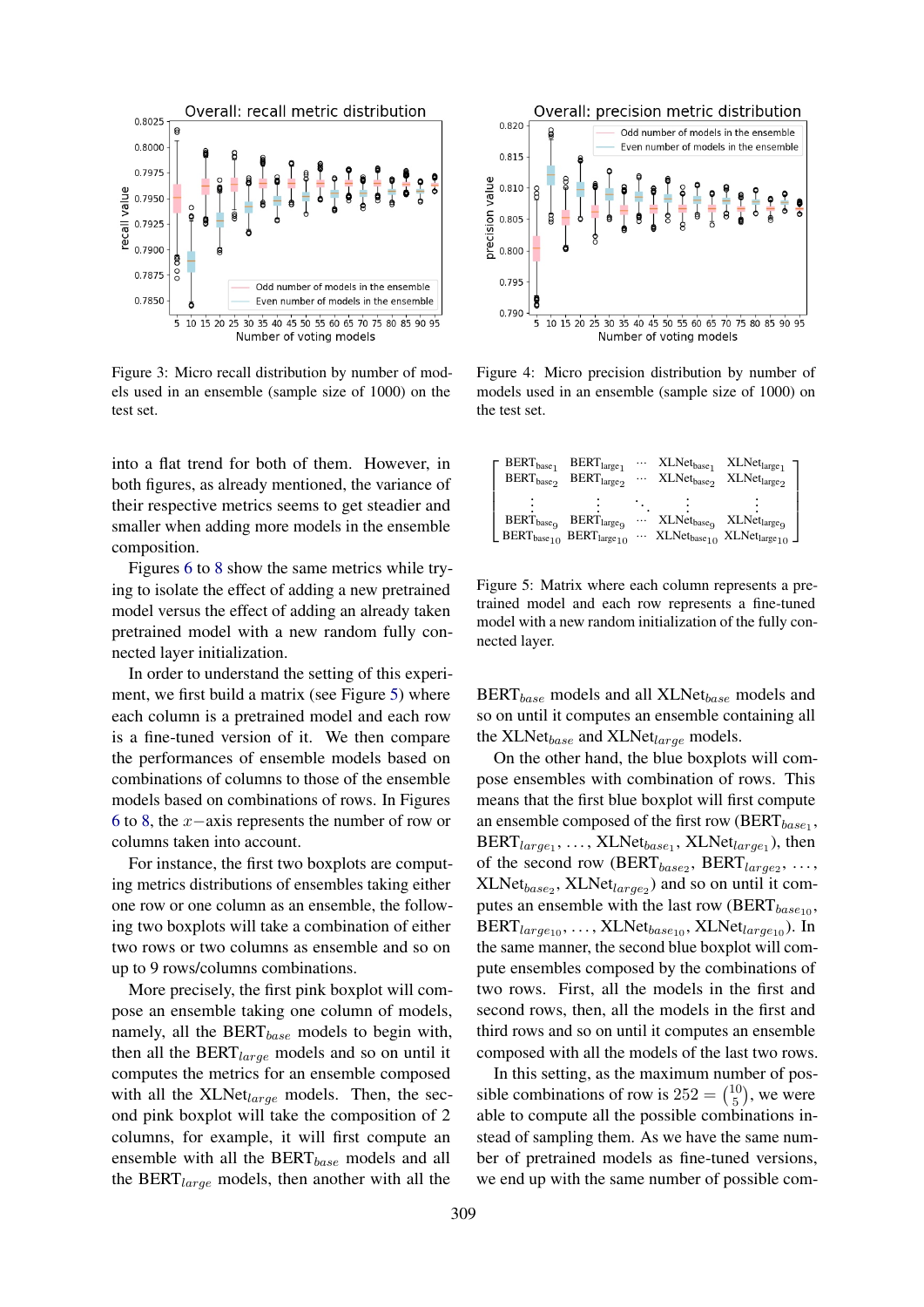<span id="page-4-1"></span>

Figure 3: Micro recall distribution by number of models used in an ensemble (sample size of 1000) on the test set.

into a flat trend for both of them. However, in both figures, as already mentioned, the variance of their respective metrics seems to get steadier and smaller when adding more models in the ensemble composition.

Figures [6](#page-5-0) to [8](#page-5-1) show the same metrics while trying to isolate the effect of adding a new pretrained model versus the effect of adding an already taken pretrained model with a new random fully connected layer initialization.

In order to understand the setting of this experiment, we first build a matrix (see Figure [5\)](#page-4-2) where each column is a pretrained model and each row is a fine-tuned version of it. We then compare the performances of ensemble models based on combinations of columns to those of the ensemble models based on combinations of rows. In Figures [6](#page-5-0) to [8,](#page-5-1) the x−axis represents the number of row or columns taken into account.

For instance, the first two boxplots are computing metrics distributions of ensembles taking either one row or one column as an ensemble, the following two boxplots will take a combination of either two rows or two columns as ensemble and so on up to 9 rows/columns combinations.

More precisely, the first pink boxplot will compose an ensemble taking one column of models, namely, all the  $BERT_{base}$  models to begin with, then all the  $BERT_{large}$  models and so on until it computes the metrics for an ensemble composed with all the  $XLNet_{large}$  models. Then, the second pink boxplot will take the composition of 2 columns, for example, it will first compute an ensemble with all the  $BERT_{base}$  models and all the BERT $_{large}$  models, then another with all the

<span id="page-4-0"></span>

Figure 4: Micro precision distribution by number of models used in an ensemble (sample size of 1000) on the test set.

<span id="page-4-2"></span>

| $BERT_{base_1}$               | $BERT_{large_1}$                               | $\cdots$ | $XLNet_{base_1}$                   | $XLNet_{large_1}$                                                |
|-------------------------------|------------------------------------------------|----------|------------------------------------|------------------------------------------------------------------|
| $\text{BERT}_{\text{base}_2}$ | $BERT_{large_2}$                               |          | $\cdots$ XLNet <sub>base</sub>     | $XLNet_{large2}$                                                 |
|                               |                                                |          |                                    |                                                                  |
|                               |                                                |          |                                    |                                                                  |
| $BERT_{baseQ}$                | $BERT_{large}$                                 | $\cdots$ | XLNet <sub>base</sub> <sub>9</sub> | XLNetlarge <sub>9</sub>                                          |
|                               | BERT <sub>base10</sub> BERT <sub>large10</sub> |          |                                    | $\cdots$ XLNet <sub>base10</sub> XLNet <sub>large10</sub> $\Box$ |

Figure 5: Matrix where each column represents a pretrained model and each row represents a fine-tuned model with a new random initialization of the fully connected layer.

 $BERT_{base}$  models and all  $XLNet_{base}$  models and so on until it computes an ensemble containing all the XLNet $_{base}$  and XLNet $_{large}$  models.

On the other hand, the blue boxplots will compose ensembles with combination of rows. This means that the first blue boxplot will first compute an ensemble composed of the first row (BERT $_{base_1}$ ,  $\text{BERT}_{large_1}, \ldots, \text{XLNet}_{base_1}, \text{XLNet}_{large_1}$ ), then of the second row (BERT $_{base_2}$ , BERT $_{large_2}$ , ...,  $XLNet_{base_2}$ ,  $XLNet_{large_2}$ ) and so on until it computes an ensemble with the last row (BERT $_{base_{10}}$ ,  $BERT_{large_{10}}, \ldots, XLNet_{base_{10}}, XLNet_{large_{10}}).$  In the same manner, the second blue boxplot will compute ensembles composed by the combinations of two rows. First, all the models in the first and second rows, then, all the models in the first and third rows and so on until it computes an ensemble composed with all the models of the last two rows.

In this setting, as the maximum number of possible combinations of row is  $252 = {10 \choose 5}$  $_5^{10}$ ), we were able to compute all the possible combinations instead of sampling them. As we have the same number of pretrained models as fine-tuned versions, we end up with the same number of possible com-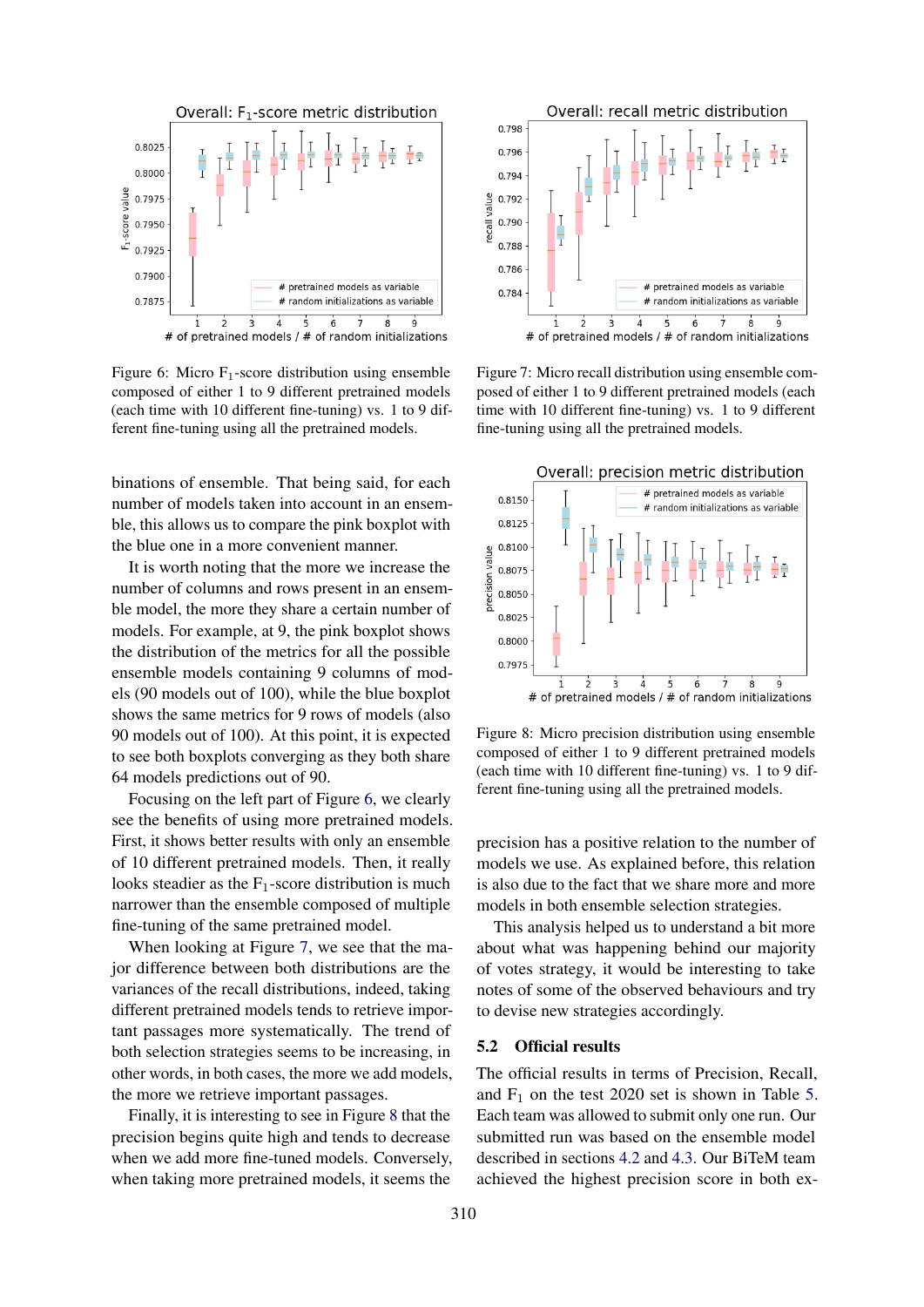<span id="page-5-0"></span>

Figure 6: Micro  $F_1$ -score distribution using ensemble composed of either 1 to 9 different pretrained models (each time with 10 different fine-tuning) vs. 1 to 9 different fine-tuning using all the pretrained models.

binations of ensemble. That being said, for each number of models taken into account in an ensemble, this allows us to compare the pink boxplot with the blue one in a more convenient manner.

It is worth noting that the more we increase the number of columns and rows present in an ensemble model, the more they share a certain number of models. For example, at 9, the pink boxplot shows the distribution of the metrics for all the possible ensemble models containing 9 columns of models (90 models out of 100), while the blue boxplot shows the same metrics for 9 rows of models (also 90 models out of 100). At this point, it is expected to see both boxplots converging as they both share 64 models predictions out of 90.

Focusing on the left part of Figure [6,](#page-5-0) we clearly see the benefits of using more pretrained models. First, it shows better results with only an ensemble of 10 different pretrained models. Then, it really looks steadier as the  $F_1$ -score distribution is much narrower than the ensemble composed of multiple fine-tuning of the same pretrained model.

When looking at Figure [7,](#page-5-2) we see that the major difference between both distributions are the variances of the recall distributions, indeed, taking different pretrained models tends to retrieve important passages more systematically. The trend of both selection strategies seems to be increasing, in other words, in both cases, the more we add models, the more we retrieve important passages.

Finally, it is interesting to see in Figure [8](#page-5-1) that the precision begins quite high and tends to decrease when we add more fine-tuned models. Conversely, when taking more pretrained models, it seems the

<span id="page-5-2"></span>

Figure 7: Micro recall distribution using ensemble composed of either 1 to 9 different pretrained models (each time with 10 different fine-tuning) vs. 1 to 9 different fine-tuning using all the pretrained models.

<span id="page-5-1"></span>

Figure 8: Micro precision distribution using ensemble composed of either 1 to 9 different pretrained models (each time with 10 different fine-tuning) vs. 1 to 9 different fine-tuning using all the pretrained models.

precision has a positive relation to the number of models we use. As explained before, this relation is also due to the fact that we share more and more models in both ensemble selection strategies.

This analysis helped us to understand a bit more about what was happening behind our majority of votes strategy, it would be interesting to take notes of some of the observed behaviours and try to devise new strategies accordingly.

#### 5.2 Official results

The official results in terms of Precision, Recall, and  $F_1$  on the test 2020 set is shown in Table [5.](#page-6-1) Each team was allowed to submit only one run. Our submitted run was based on the ensemble model described in sections [4.2](#page-2-2) and [4.3.](#page-2-3) Our BiTeM team achieved the highest precision score in both ex-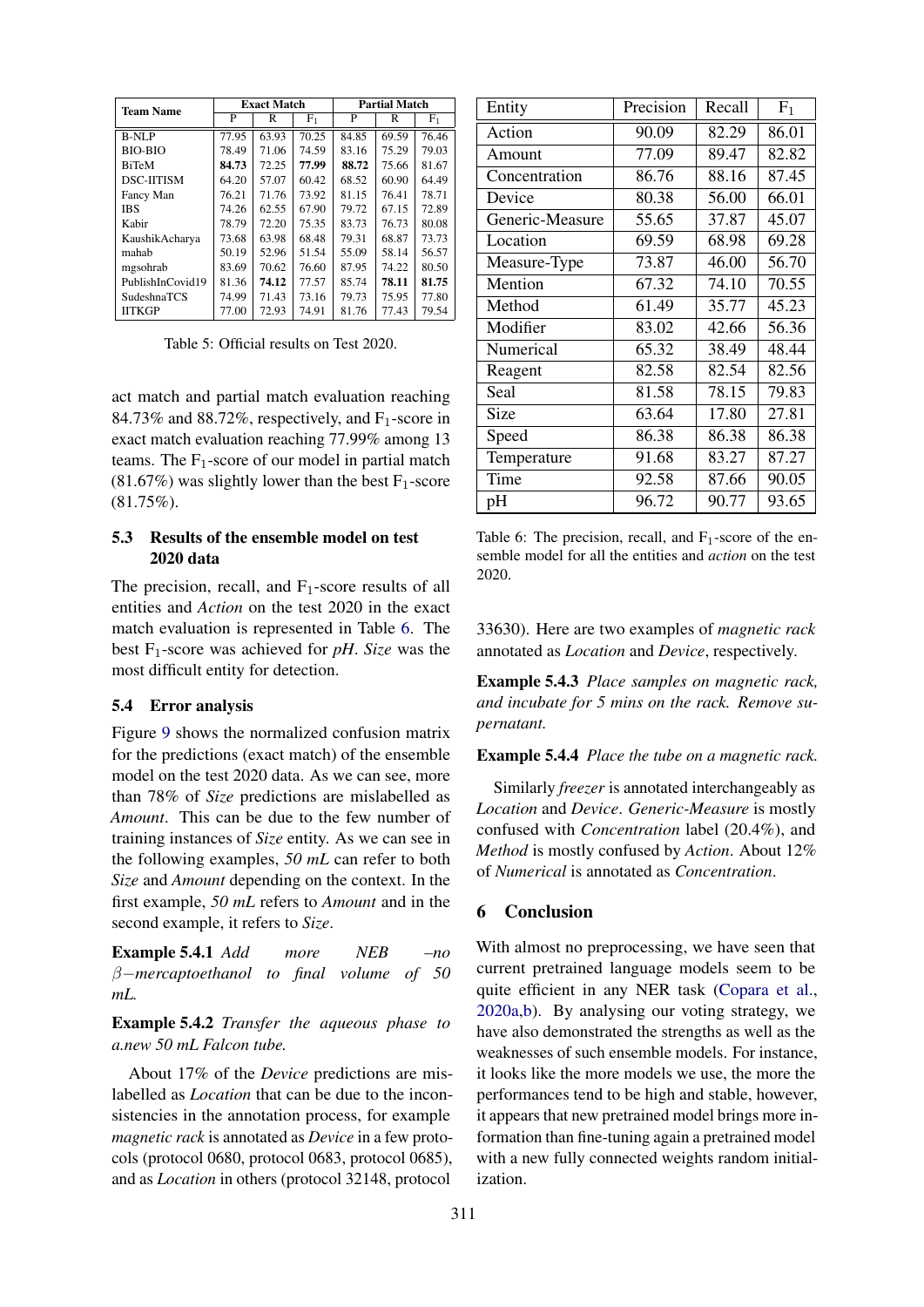<span id="page-6-1"></span>

| <b>Team Name</b>   |       | <b>Exact Match</b> |               | <b>Partial Match</b> |       |       |  |
|--------------------|-------|--------------------|---------------|----------------------|-------|-------|--|
|                    | P     | R                  | ${\rm F}_{1}$ | P<br>R               |       | $F_1$ |  |
| <b>B-NLP</b>       | 77.95 | 63.93              | 70.25         | 84.85                | 69.59 | 76.46 |  |
| <b>BIO-BIO</b>     | 78.49 | 71.06              | 74.59         | 83.16                | 75.29 | 79.03 |  |
| <b>BiTeM</b>       | 84.73 | 72.25              | 77.99         | 88.72                | 75.66 | 81.67 |  |
| <b>DSC-HTISM</b>   | 64.20 | 57.07              | 60.42         | 68.52                | 60.90 | 64.49 |  |
| Fancy Man          | 76.21 | 71.76              | 73.92         | 81.15                | 76.41 | 78.71 |  |
| <b>IBS</b>         | 74.26 | 62.55              | 67.90         | 79.72                | 67.15 | 72.89 |  |
| Kabir              | 78.79 | 72.20              | 75.35         | 83.73                | 76.73 | 80.08 |  |
| KaushikAcharya     | 73.68 | 63.98              | 68.48         | 79.31                | 68.87 | 73.73 |  |
| mahah              | 50.19 | 52.96              | 51.54         | 55.09                | 58.14 | 56.57 |  |
| mgsohrab           | 83.69 | 70.62              | 76.60         | 87.95                | 74.22 | 80.50 |  |
| PublishInCovid19   | 81.36 | 74.12              | 77.57         | 85.74                | 78.11 | 81.75 |  |
| <b>SudeshnaTCS</b> | 74.99 | 71.43              | 73.16         | 79.73                | 75.95 | 77.80 |  |
| <b>IITKGP</b>      | 77.00 | 72.93              | 74.91         | 81.76                | 77.43 | 79.54 |  |

Table 5: Official results on Test 2020.

act match and partial match evaluation reaching 84.73% and 88.72%, respectively, and  $F_1$ -score in exact match evaluation reaching 77.99% among 13 teams. The  $F_1$ -score of our model in partial match  $(81.67%)$  was slightly lower than the best F<sub>1</sub>-score (81.75%).

### 5.3 Results of the ensemble model on test 2020 data

The precision, recall, and  $F_1$ -score results of all entities and *Action* on the test 2020 in the exact match evaluation is represented in Table [6.](#page-6-2) The best  $F_1$ -score was achieved for *pH*. *Size* was the most difficult entity for detection.

#### <span id="page-6-0"></span>5.4 Error analysis

Figure [9](#page-7-5) shows the normalized confusion matrix for the predictions (exact match) of the ensemble model on the test 2020 data. As we can see, more than 78% of *Size* predictions are mislabelled as *Amount*. This can be due to the few number of training instances of *Size* entity. As we can see in the following examples, *50 mL* can refer to both *Size* and *Amount* depending on the context. In the first example, *50 mL* refers to *Amount* and in the second example, it refers to *Size*.

Example 5.4.1 *Add more NEB –no* β−*mercaptoethanol to final volume of 50 mL.*

Example 5.4.2 *Transfer the aqueous phase to a.new 50 mL Falcon tube.*

About 17% of the *Device* predictions are mislabelled as *Location* that can be due to the inconsistencies in the annotation process, for example *magnetic rack* is annotated as *Device* in a few protocols (protocol 0680, protocol 0683, protocol 0685), and as *Location* in others (protocol 32148, protocol

<span id="page-6-2"></span>

| Entity          | Precision | Recall | $F_1$ |
|-----------------|-----------|--------|-------|
| Action          | 90.09     | 82.29  | 86.01 |
| Amount          | 77.09     | 89.47  | 82.82 |
| Concentration   | 86.76     | 88.16  | 87.45 |
| Device          | 80.38     | 56.00  | 66.01 |
| Generic-Measure | 55.65     | 37.87  | 45.07 |
| Location        | 69.59     | 68.98  | 69.28 |
| Measure-Type    | 73.87     | 46.00  | 56.70 |
| Mention         | 67.32     | 74.10  | 70.55 |
| Method          | 61.49     | 35.77  | 45.23 |
| Modifier        | 83.02     | 42.66  | 56.36 |
| Numerical       | 65.32     | 38.49  | 48.44 |
| Reagent         | 82.58     | 82.54  | 82.56 |
| Seal            | 81.58     | 78.15  | 79.83 |
| Size            | 63.64     | 17.80  | 27.81 |
| Speed           | 86.38     | 86.38  | 86.38 |
| Temperature     | 91.68     | 83.27  | 87.27 |
| Time            | 92.58     | 87.66  | 90.05 |
| pH              | 96.72     | 90.77  | 93.65 |

Table 6: The precision, recall, and  $F_1$ -score of the ensemble model for all the entities and *action* on the test 2020.

33630). Here are two examples of *magnetic rack* annotated as *Location* and *Device*, respectively.

Example 5.4.3 *Place samples on magnetic rack, and incubate for 5 mins on the rack. Remove supernatant.*

Example 5.4.4 *Place the tube on a magnetic rack.*

Similarly *freezer* is annotated interchangeably as *Location* and *Device*. *Generic-Measure* is mostly confused with *Concentration* label (20.4%), and *Method* is mostly confused by *Action*. About 12% of *Numerical* is annotated as *Concentration*.

### 6 Conclusion

With almost no preprocessing, we have seen that current pretrained language models seem to be quite efficient in any NER task [\(Copara et al.,](#page-7-4) [2020a](#page-7-4)[,b\)](#page-7-3). By analysing our voting strategy, we have also demonstrated the strengths as well as the weaknesses of such ensemble models. For instance, it looks like the more models we use, the more the performances tend to be high and stable, however, it appears that new pretrained model brings more information than fine-tuning again a pretrained model with a new fully connected weights random initialization.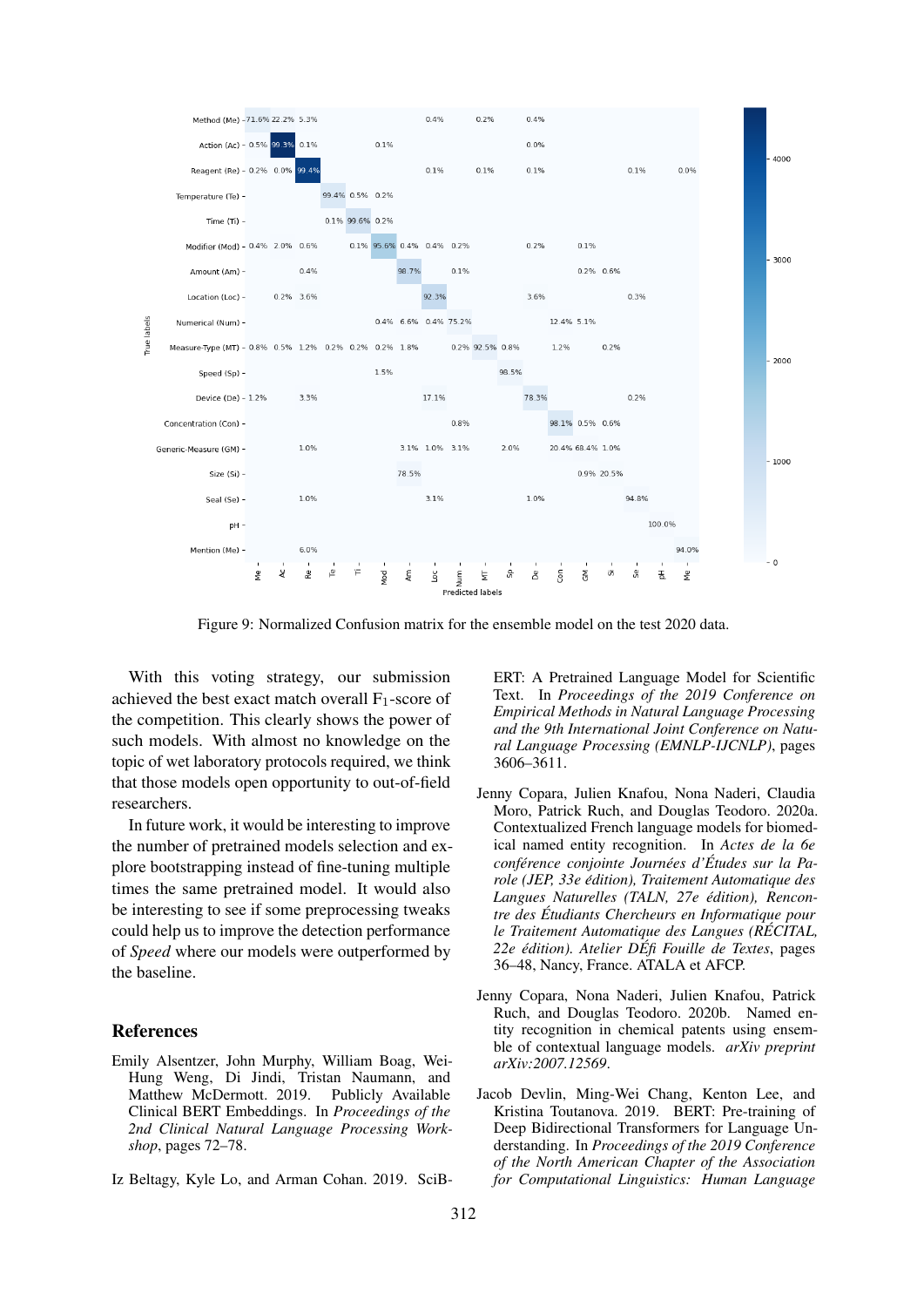<span id="page-7-5"></span>

Figure 9: Normalized Confusion matrix for the ensemble model on the test 2020 data.

With this voting strategy, our submission achieved the best exact match overall  $F_1$ -score of the competition. This clearly shows the power of such models. With almost no knowledge on the topic of wet laboratory protocols required, we think that those models open opportunity to out-of-field researchers.

In future work, it would be interesting to improve the number of pretrained models selection and explore bootstrapping instead of fine-tuning multiple times the same pretrained model. It would also be interesting to see if some preprocessing tweaks could help us to improve the detection performance of *Speed* where our models were outperformed by the baseline.

#### References

- <span id="page-7-2"></span>Emily Alsentzer, John Murphy, William Boag, Wei-Hung Weng, Di Jindi, Tristan Naumann, and Matthew McDermott. 2019. Publicly Available Clinical BERT Embeddings. In *Proceedings of the 2nd Clinical Natural Language Processing Workshop*, pages 72–78.
- <span id="page-7-1"></span>Iz Beltagy, Kyle Lo, and Arman Cohan. 2019. SciB-

ERT: A Pretrained Language Model for Scientific Text. In *Proceedings of the 2019 Conference on Empirical Methods in Natural Language Processing and the 9th International Joint Conference on Natural Language Processing (EMNLP-IJCNLP)*, pages 3606–3611.

- <span id="page-7-4"></span>Jenny Copara, Julien Knafou, Nona Naderi, Claudia Moro, Patrick Ruch, and Douglas Teodoro. 2020a. Contextualized French language models for biomedical named entity recognition. In *Actes de la 6e conference conjointe Journ ´ ees d' ´ Etudes sur la Pa- ´ role (JEP, 33e edition), Traitement Automatique des ´ Langues Naturelles (TALN, 27e edition), Rencon- ´ tre des Etudiants Chercheurs en Informatique pour ´ le Traitement Automatique des Langues (RECITAL, ´ 22e edition). Atelier D ´ Efi Fouille de Textes ´* , pages 36–48, Nancy, France. ATALA et AFCP.
- <span id="page-7-3"></span>Jenny Copara, Nona Naderi, Julien Knafou, Patrick Ruch, and Douglas Teodoro. 2020b. Named entity recognition in chemical patents using ensemble of contextual language models. *arXiv preprint arXiv:2007.12569*.
- <span id="page-7-0"></span>Jacob Devlin, Ming-Wei Chang, Kenton Lee, and Kristina Toutanova. 2019. BERT: Pre-training of Deep Bidirectional Transformers for Language Understanding. In *Proceedings of the 2019 Conference of the North American Chapter of the Association for Computational Linguistics: Human Language*